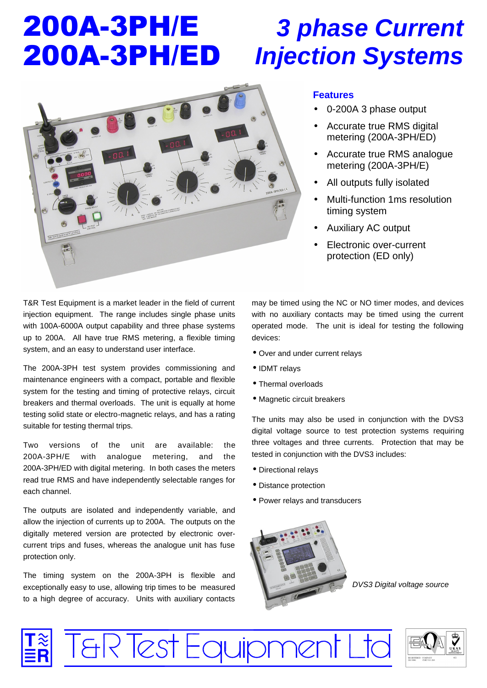# 200A-3PH/E 200A-3PH/ED

## *3 phase Current Injection Systems*



## **Features**

- 0-200A 3 phase output
- Accurate true RMS digital metering (200A-3PH/ED)
- Accurate true RMS analogue metering (200A-3PH/E)
- All outputs fully isolated
- Multi-function 1ms resolution timing system
- Auxiliary AC output
- Electronic over-current protection (ED only)

T&R Test Equipment is a market leader in the field of current injection equipment. The range includes single phase units with 100A-6000A output capability and three phase systems up to 200A. All have true RMS metering, a flexible timing system, and an easy to understand user interface.

The 200A-3PH test system provides commissioning and maintenance engineers with a compact, portable and flexible system for the testing and timing of protective relays, circuit breakers and thermal overloads. The unit is equally at home testing solid state or electro-magnetic relays, and has a rating suitable for testing thermal trips.

Two versions of the unit are available: the 200A-3PH/E with analogue metering, and the 200A-3PH/ED with digital metering. In both cases the meters read true RMS and have independently selectable ranges for each channel.

The outputs are isolated and independently variable, and allow the injection of currents up to 200A. The outputs on the digitally metered version are protected by electronic overcurrent trips and fuses, whereas the analogue unit has fuse protection only.

The timing system on the 200A-3PH is flexible and exceptionally easy to use, allowing trip times to be measured to a high degree of accuracy. Units with auxiliary contacts

T&R Test Equipmer

may be timed using the NC or NO timer modes, and devices with no auxiliary contacts may be timed using the current operated mode. The unit is ideal for testing the following devices:

- Over and under current relays
- IDMT relays
- Thermal overloads
- Magnetic circuit breakers

The units may also be used in conjunction with the DVS3 digital voltage source to test protection systems requiring three voltages and three currents. Protection that may be tested in conjunction with the DVS3 includes:

- Directional relays
- Distance protection
- Power relays and transducers



*DVS3 Digital voltage source*